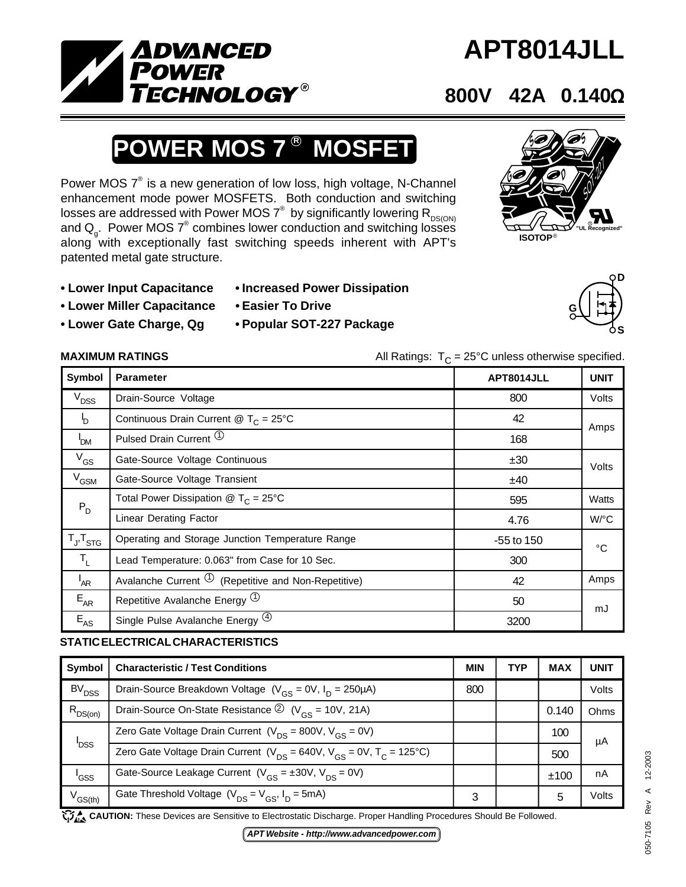

# **APT8014JLL**

### **800V 42A 0.140**Ω

## **POWER MOS 7<sup>®</sup> MOSFET**

Power MOS  $7^\circ$  is a new generation of low loss, high voltage, N-Channel enhancement mode power MOSFETS. Both conduction and switching losses are addressed with Power MOS  $7^\circ$  by significantly lowering  $\mathsf{R}_{\mathsf{DS}(\mathsf{ON})}$ and  $Q_{\text{g}}$ . Power MOS  $7^{\circ}$  combines lower conduction and switching losses along with exceptionally fast switching speeds inherent with APT's patented metal gate structure.



**G**

**D**

**S**

- 
- **Lower Miller Capacitance Easier To Drive**
	-

- **Lower Input Capacitance Increased Power Dissipation**
	-
- **Lower Gate Charge, Qg Popular SOT-227 Package**
- **MAXIMUM RATINGS** All Ratings: T<sub>C</sub> = 25°C unless otherwise specified.

| Symbol                     | <b>Parameter</b>                                          | APT8014JLL   | <b>UNIT</b>          |  |
|----------------------------|-----------------------------------------------------------|--------------|----------------------|--|
| $V_{DSS}$                  | Drain-Source Voltage                                      | 800          | Volts                |  |
| b                          | Continuous Drain Current @ $T_c = 25^{\circ}$ C           | 42           | Amps                 |  |
| 'DM                        | Pulsed Drain Current <sup>1</sup>                         | 168          |                      |  |
| $V_{GS}$                   | Gate-Source Voltage Continuous                            | ±30          | Volts                |  |
| $V_{GSM}$                  | Gate-Source Voltage Transient                             | ±40          |                      |  |
| $\mathsf{P}_{\mathsf{D}}$  | Total Power Dissipation $\circledR$ T <sub>C</sub> = 25°C | 595          | Watts                |  |
|                            | <b>Linear Derating Factor</b>                             | 4.76         | $W$ <sup>o</sup> $C$ |  |
| $T_{J}$ , $T_{STG}$        | Operating and Storage Junction Temperature Range          | $-55$ to 150 | °C                   |  |
| $T_{L}$                    | Lead Temperature: 0.063" from Case for 10 Sec.            | 300          |                      |  |
| $I_{AR}$                   | Avalanche Current $\Phi$ (Repetitive and Non-Repetitive)  | 42           | Amps                 |  |
| $E_{AR}$                   | Repetitive Avalanche Energy <sup>(1)</sup>                | 50           | mJ                   |  |
| $\mathsf{E}_{\mathsf{AS}}$ | Single Pulse Avalanche Energy <sup>(4)</sup>              | 3200         |                      |  |

#### **STATIC ELECTRICAL CHARACTERISTICS**

| <b>Symbol</b>       | <b>Characteristic / Test Conditions</b>                                          | <b>MIN</b> | TYP | <b>MAX</b> | <b>UNIT</b> |
|---------------------|----------------------------------------------------------------------------------|------------|-----|------------|-------------|
| BV <sub>DSS</sub>   | Drain-Source Breakdown Voltage ( $V_{GS} = 0V$ , $I_D = 250 \mu A$ )             | 800        |     |            | Volts       |
| $R_{DS(on)}$        | Drain-Source On-State Resistance $\circled{2}$ (V <sub>GS</sub> = 10V, 21A)      |            |     | 0.140      | Ohms        |
| <b>DSS</b>          | Zero Gate Voltage Drain Current ( $V_{DS}$ = 800V, $V_{CS}$ = 0V)                |            |     | 100        | μA          |
|                     | Zero Gate Voltage Drain Current ( $V_{DS}$ = 640V, $V_{GS}$ = 0V, $T_C$ = 125°C) |            |     | 500        |             |
| 'GSS                | Gate-Source Leakage Current $(V_{cs} = \pm 30V, V_{DS} = 0V)$                    |            |     | ±100       | nA          |
| V <sub>GS(th)</sub> | Gate Threshold Voltage $(V_{DS} = V_{GS}, I_D = 5mA)$                            | 3          |     | 5          | Volts       |

CAUTION: These Devices are Sensitive to Electrostatic Discharge. Proper Handling Procedures Should Be Followed.

*APT Website - http://www.advancedpower.com*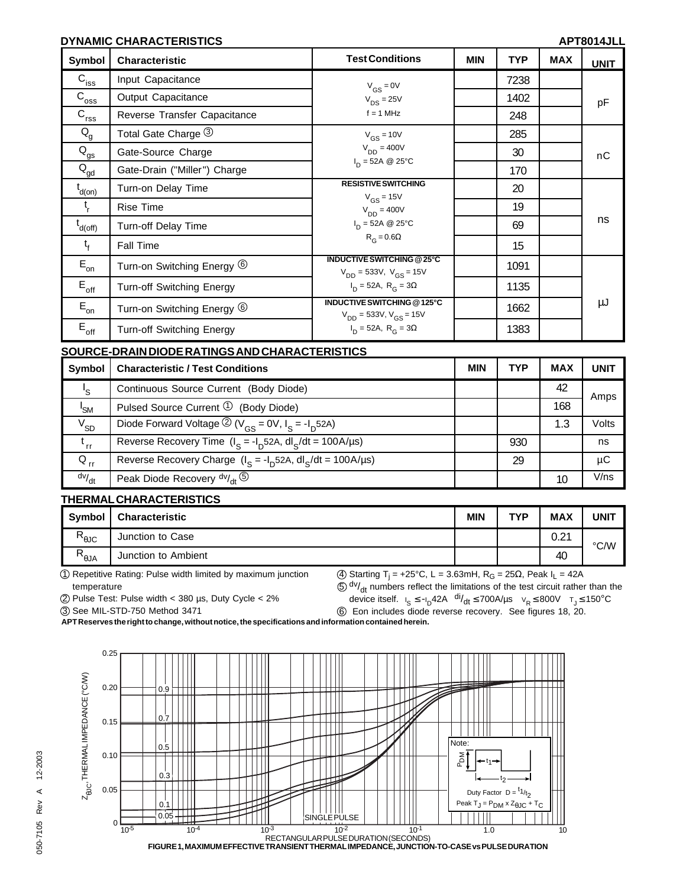#### **DYNAMIC CHARACTERISTICS APT8014JLL**

| <b>Symbol</b>               | Characteristic                        | <b>Test Conditions</b>                                              | <b>MIN</b> | <b>TYP</b> | <b>MAX</b> | <b>UNIT</b> |
|-----------------------------|---------------------------------------|---------------------------------------------------------------------|------------|------------|------------|-------------|
| $\mathbf{C}_{\mathsf{iss}}$ | Input Capacitance                     | $V_{GS} = 0V$                                                       |            | 7238       |            |             |
| $C_{\overline{\text{oss}}}$ | Output Capacitance                    | $V_{DS} = 25V$                                                      |            | 1402       |            | pF          |
| $C_{rss}$                   | Reverse Transfer Capacitance          | $f = 1$ MHz                                                         |            | 248        |            |             |
| $Q_{\rm g}$                 | Total Gate Charge 3                   | $V_{GS}$ = 10V                                                      |            | 285        |            |             |
| $Q_{gs}$                    | Gate-Source Charge                    | $V_{DD} = 400V$                                                     |            | 30         |            | nC          |
| $Q_{\underline{gd}}$        | Gate-Drain ("Miller") Charge          | $I_{D} = 52A \ @ 25^{\circ}C$                                       |            | 170        |            |             |
| $t_{d(on)}$                 | Turn-on Delay Time                    | <b>RESISTIVE SWITCHING</b>                                          |            | 20         |            |             |
| $t_{\rm r}$                 | <b>Rise Time</b>                      | $V_{GS}$ = 15V<br>$V_{DD} = 400V$                                   |            | 19         |            |             |
| $t_{d(off)}$                | Turn-off Delay Time                   | $I_D = 52A \ @ 25^{\circ}C$                                         |            | 69         |            | ns          |
| $t_{f}$                     | Fall Time                             | $R_G = 0.6\Omega$                                                   |            | 15         |            |             |
| $\mathsf{E}_{\mathsf{on}}$  | Turn-on Switching Energy 6            | <b>INDUCTIVE SWITCHING @25°C</b><br>$V_{DD}$ = 533V, $V_{GS}$ = 15V |            | 1091       |            |             |
| $E_{\text{off}}$            | Turn-off Switching Energy             | $I_{\text{D}} = 52A, R_{\text{G}} = 3\Omega$                        |            | 1135       |            |             |
| $\mathsf{E}_{\mathsf{on}}$  | Turn-on Switching Energy <sup>6</sup> | INDUCTIVE SWITCHING @125°C<br>$V_{DD}$ = 533V, $V_{GS}$ = 15V       |            | 1662       |            | μJ          |
| $E_{\text{off}}$            | Turn-off Switching Energy             | $I_D = 52A$ , $R_G = 3\Omega$                                       |            | 1383       |            |             |

| SOURCE-DRAIN DIODE RATINGS AND CHARACTERISTICS |
|------------------------------------------------|
|                                                |

| Symbol          | <b>Characteristic / Test Conditions</b>                          | <b>MIN</b> | <b>TYP</b> | <b>MAX</b> | UNIT  |
|-----------------|------------------------------------------------------------------|------------|------------|------------|-------|
| 's              | Continuous Source Current (Body Diode)                           |            |            | 42         | Amps  |
| ' <sub>SM</sub> | Pulsed Source Current $\mathcal{D}$ (Body Diode)                 |            |            | 168        |       |
| $V_{SD}$        | Diode Forward Voltage $\mathcal{D}(V_{GS} = 0V, I_S = -I_D 52A)$ |            |            | 1.3        | Volts |
| $t_{rr}$        | Reverse Recovery Time $(I_S = -I_D 52A, dl_S/dt = 100A/\mu s)$   |            | 930        |            | ns    |
| $Q_{\rm nr}$    | Reverse Recovery Charge $(I_s = -I_b 52A, dl_s/dt = 100A/\mu s)$ |            | 29         |            | μC    |
| dv/dt           | Peak Diode Recovery $\frac{dv}{dt}$ (5)                          |            |            | 10         | V/ns  |

#### **THERMAL CHARACTERISTICS**

| Symbol                | <b>Characteristic</b> | <b>MIN</b> | <b>TYP</b> | <b>MAX</b> | UNIT |
|-----------------------|-----------------------|------------|------------|------------|------|
| R<br>.91C             | Junction to Case      |            |            | 0.21       | °C/W |
| R<br>$A \cup \theta'$ | Junction to Ambient   |            |            | 40         |      |

1 Repetitive Rating: Pulse width limited by maximum junction temperature

 $(4)$  Starting T<sub>j</sub> = +25°C, L = 3.63mH, R<sub>G</sub> = 25Ω, Peak I<sub>L</sub> = 42A  $50$  dv/<sub>dt</sub> numbers reflect the limitations of the test circuit rather than the

2 Pulse Test: Pulse width < 380 µs, Duty Cycle < 2%

device itself.  $I_S \le -I_D 42A$  di/ $dt \le 700A/\mu$ s  $V_R \le 800V$   $T_J \le 150^{\circ}C$ 

3 See MIL-STD-750 Method 3471



**APT Reserves the right to change, without notice, the specifications and information contained herein.**

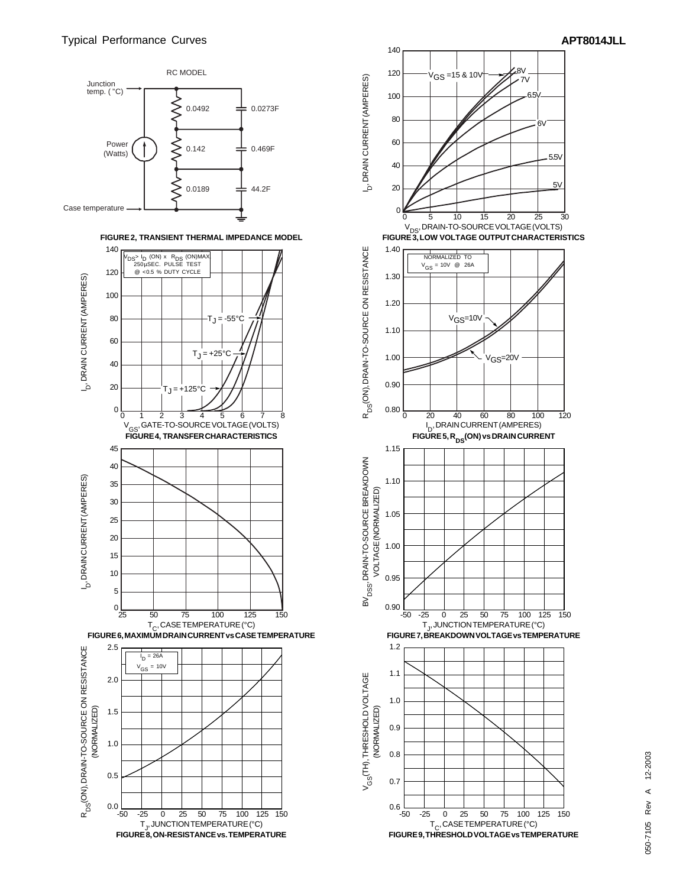





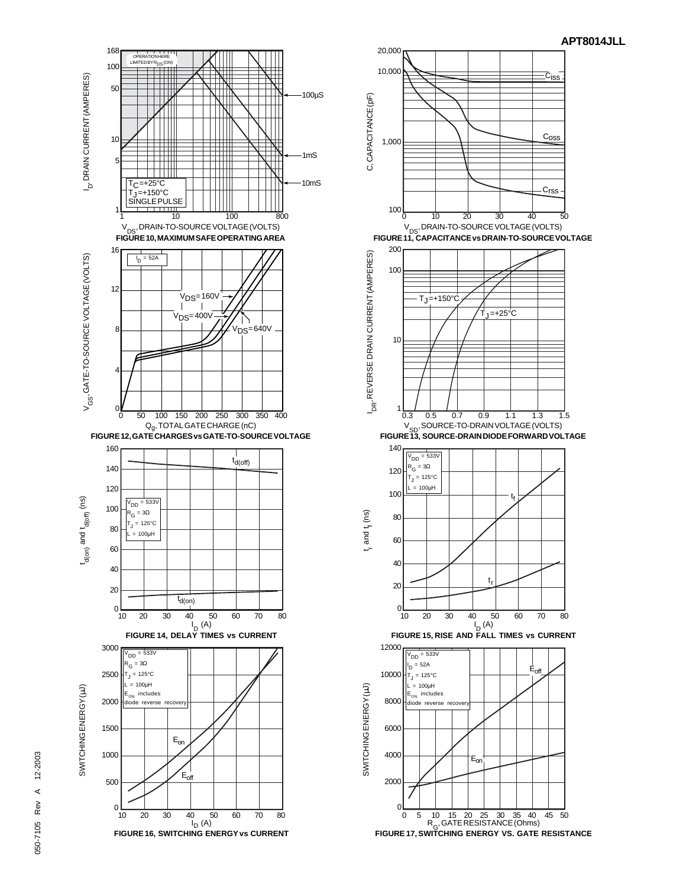